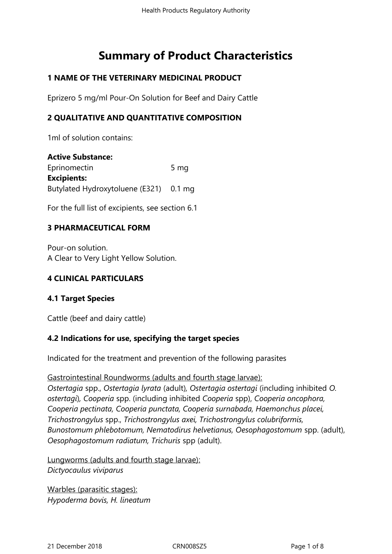# **Summary of Product Characteristics**

# **1 NAME OF THE VETERINARY MEDICINAL PRODUCT**

Eprizero 5 mg/ml Pour-On Solution for Beef and Dairy Cattle

# **2 QUALITATIVE AND QUANTITATIVE COMPOSITION**

1ml of solution contains:

**Active Substance:** Eprinomectin 5 mg **Excipients:** Butylated Hydroxytoluene (E321) 0.1 mg

For the full list of excipients, see section 6.1

# **3 PHARMACEUTICAL FORM**

Pour-on solution. A Clear to Very Light Yellow Solution.

# **4 CLINICAL PARTICULARS**

# **4.1 Target Species**

Cattle (beef and dairy cattle)

#### **4.2 Indications for use, specifying the target species**

Indicated for the treatment and prevention of the following parasites

# Gastrointestinal Roundworms (adults and fourth stage larvae): *Ostertagia* spp., *Ostertagia lyrata* (adult)*, Ostertagia ostertagi* (including inhibited *O. ostertagi*)*, Cooperia* spp. (including inhibited *Cooperia* spp), *Cooperia oncophora, Cooperia pectinata, Cooperia punctata, Cooperia surnabada, Haemonchus placei, Trichostrongylus* spp., *Trichostrongylus axei, Trichostrongylus colubriformis, Bunostomum phlebotomum, Nematodirus helvetianus, Oesophagostomum* spp. (adult), *Oesophagostomum radiatum, Trichuris* spp (adult).

Lungworms (adults and fourth stage larvae): *Dictyocaulus viviparus*

Warbles (parasitic stages): *Hypoderma bovis, H. lineatum*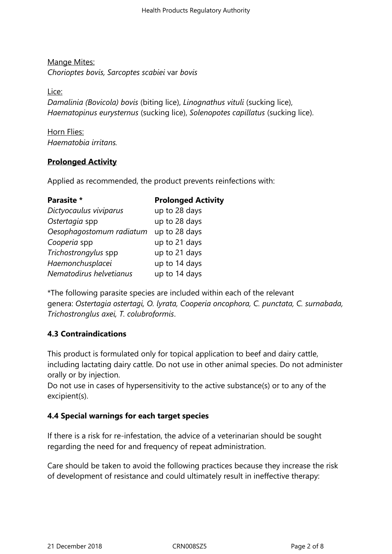# Mange Mites: *Chorioptes bovis, Sarcoptes scabiei* var *bovis*

Lice:

*Damalinia (Bovicola) bovis* (biting lice), *Linognathus vituli* (sucking lice), *Haematopinus eurysternus* (sucking lice), *Solenopotes capillatus* (sucking lice).

Horn Flies: *Haematobia irritans.*

# **Prolonged Activity**

Applied as recommended, the product prevents reinfections with:

| Parasite *               | <b>Prolonged Activity</b> |
|--------------------------|---------------------------|
| Dictyocaulus viviparus   | up to 28 days             |
| Ostertagia spp           | up to 28 days             |
| Oesophagostomum radiatum | up to 28 days             |
| Cooperia spp             | up to 21 days             |
| Trichostrongylus spp     | up to 21 days             |
| Haemonchusplacei         | up to 14 days             |
| Nematodirus helvetianus  | up to 14 days             |

\*The following parasite species are included within each of the relevant genera: *Ostertagia ostertagi, O. lyrata, Cooperia oncophora, C. punctata, C. surnabada, Trichostronglus axei, T. colubroformis*.

# **4.3 Contraindications**

This product is formulated only for topical application to beef and dairy cattle, including lactating dairy cattle. Do not use in other animal species. Do not administer orally or by injection.

Do not use in cases of hypersensitivity to the active substance(s) or to any of the excipient(s).

# **4.4 Special warnings for each target species**

If there is a risk for re-infestation, the advice of a veterinarian should be sought regarding the need for and frequency of repeat administration.

Care should be taken to avoid the following practices because they increase the risk of development of resistance and could ultimately result in ineffective therapy: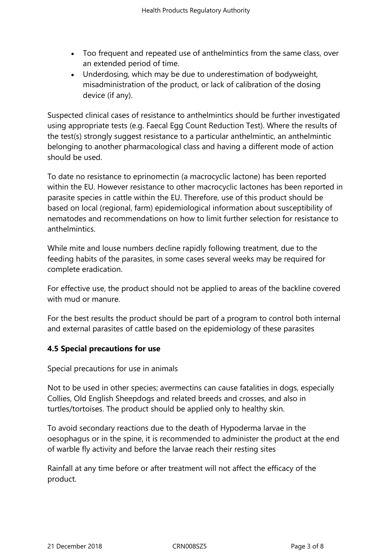- Too frequent and repeated use of anthelmintics from the same class, over an extended period of time.
- Underdosing, which may be due to underestimation of bodyweight, misadministration of the product, or lack of calibration of the dosing device (if any).

Suspected clinical cases of resistance to anthelmintics should be further investigated using appropriate tests (e.g. Faecal Egg Count Reduction Test). Where the results of the test(s) strongly suggest resistance to a particular anthelmintic, an anthelmintic belonging to another pharmacological class and having a different mode of action should be used.

To date no resistance to eprinomectin (a macrocyclic lactone) has been reported within the EU. However resistance to other macrocyclic lactones has been reported in parasite species in cattle within the EU. Therefore, use of this product should be based on local (regional, farm) epidemiological information about susceptibility of nematodes and recommendations on how to limit further selection for resistance to anthelmintics.

While mite and louse numbers decline rapidly following treatment, due to the feeding habits of the parasites, in some cases several weeks may be required for complete eradication.

For effective use, the product should not be applied to areas of the backline covered with mud or manure.

For the best results the product should be part of a program to control both internal and external parasites of cattle based on the epidemiology of these parasites

# **4.5 Special precautions for use**

Special precautions for use in animals

Not to be used in other species; avermectins can cause fatalities in dogs, especially Collies, Old English Sheepdogs and related breeds and crosses, and also in turtles/tortoises. The product should be applied only to healthy skin.

To avoid secondary reactions due to the death of Hypoderma larvae in the oesophagus or in the spine, it is recommended to administer the product at the end of warble fly activity and before the larvae reach their resting sites

Rainfall at any time before or after treatment will not affect the efficacy of the product.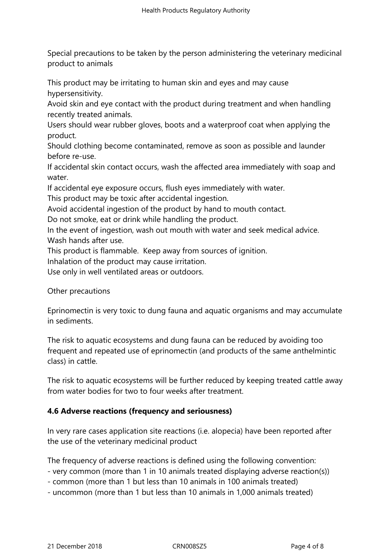Special precautions to be taken by the person administering the veterinary medicinal product to animals

This product may be irritating to human skin and eyes and may cause hypersensitivity.

Avoid skin and eye contact with the product during treatment and when handling recently treated animals.

Users should wear rubber gloves, boots and a waterproof coat when applying the product.

Should clothing become contaminated, remove as soon as possible and launder before re-use.

If accidental skin contact occurs, wash the affected area immediately with soap and water.

If accidental eye exposure occurs, flush eyes immediately with water.

This product may be toxic after accidental ingestion.

Avoid accidental ingestion of the product by hand to mouth contact.

Do not smoke, eat or drink while handling the product.

In the event of ingestion, wash out mouth with water and seek medical advice. Wash hands after use.

This product is flammable. Keep away from sources of ignition.

Inhalation of the product may cause irritation.

Use only in well ventilated areas or outdoors.

Other precautions

Eprinomectin is very toxic to dung fauna and aquatic organisms and may accumulate in sediments.

The risk to aquatic ecosystems and dung fauna can be reduced by avoiding too frequent and repeated use of eprinomectin (and products of the same anthelmintic class) in cattle.

The risk to aquatic ecosystems will be further reduced by keeping treated cattle away from water bodies for two to four weeks after treatment.

# **4.6 Adverse reactions (frequency and seriousness)**

In very rare cases application site reactions (i.e. alopecia) have been reported after the use of the veterinary medicinal product

The frequency of adverse reactions is defined using the following convention:

- very common (more than 1 in 10 animals treated displaying adverse reaction(s))

- common (more than 1 but less than 10 animals in 100 animals treated)
- uncommon (more than 1 but less than 10 animals in 1,000 animals treated)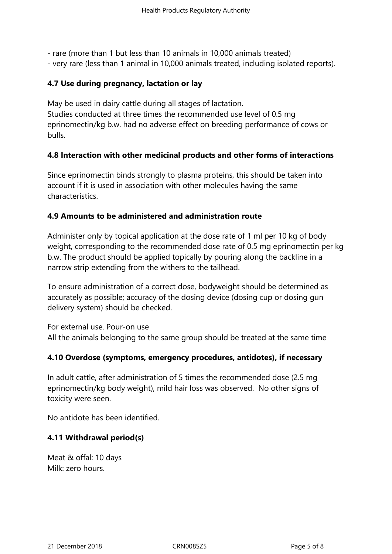- rare (more than 1 but less than 10 animals in 10,000 animals treated)
- very rare (less than 1 animal in 10,000 animals treated, including isolated reports).

### **4.7 Use during pregnancy, lactation or lay**

May be used in dairy cattle during all stages of lactation. Studies conducted at three times the recommended use level of 0.5 mg eprinomectin/kg b.w. had no adverse effect on breeding performance of cows or bulls.

## **4.8 Interaction with other medicinal products and other forms of interactions**

Since eprinomectin binds strongly to plasma proteins, this should be taken into account if it is used in association with other molecules having the same characteristics.

#### **4.9 Amounts to be administered and administration route**

Administer only by topical application at the dose rate of 1 ml per 10 kg of body weight, corresponding to the recommended dose rate of 0.5 mg eprinomectin per kg b.w. The product should be applied topically by pouring along the backline in a narrow strip extending from the withers to the tailhead.

To ensure administration of a correct dose, bodyweight should be determined as accurately as possible; accuracy of the dosing device (dosing cup or dosing gun delivery system) should be checked.

For external use. Pour-on use All the animals belonging to the same group should be treated at the same time

#### **4.10 Overdose (symptoms, emergency procedures, antidotes), if necessary**

In adult cattle, after administration of 5 times the recommended dose (2.5 mg eprinomectin/kg body weight), mild hair loss was observed. No other signs of toxicity were seen.

No antidote has been identified.

#### **4.11 Withdrawal period(s)**

Meat & offal: 10 days Milk: zero hours.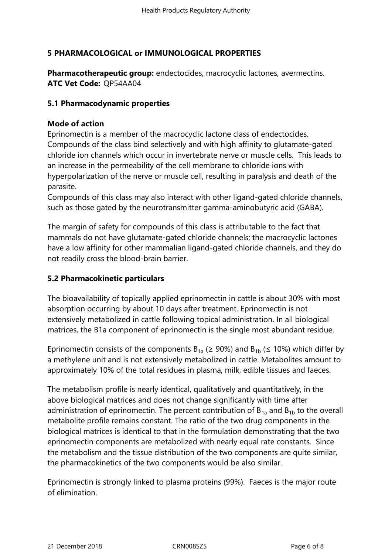# **5 PHARMACOLOGICAL or IMMUNOLOGICAL PROPERTIES**

**Pharmacotherapeutic group:** endectocides, macrocyclic lactones, avermectins. **ATC Vet Code:** QP54AA04

## **5.1 Pharmacodynamic properties**

## **Mode of action**

Eprinomectin is a member of the macrocyclic lactone class of endectocides. Compounds of the class bind selectively and with high affinity to glutamate-gated chloride ion channels which occur in invertebrate nerve or muscle cells. This leads to an increase in the permeability of the cell membrane to chloride ions with hyperpolarization of the nerve or muscle cell, resulting in paralysis and death of the parasite.

Compounds of this class may also interact with other ligand-gated chloride channels, such as those gated by the neurotransmitter gamma-aminobutyric acid (GABA).

The margin of safety for compounds of this class is attributable to the fact that mammals do not have glutamate-gated chloride channels; the macrocyclic lactones have a low affinity for other mammalian ligand-gated chloride channels, and they do not readily cross the blood-brain barrier.

# **5.2 Pharmacokinetic particulars**

The bioavailability of topically applied eprinomectin in cattle is about 30% with most absorption occurring by about 10 days after treatment. Eprinomectin is not extensively metabolized in cattle following topical administration. In all biological matrices, the B1a component of eprinomectin is the single most abundant residue.

Eprinomectin consists of the components  $B_{1a}$  ( $\geq$  90%) and  $B_{1b}$  ( $\leq$  10%) which differ by a methylene unit and is not extensively metabolized in cattle. Metabolites amount to approximately 10% of the total residues in plasma, milk, edible tissues and faeces.

The metabolism profile is nearly identical, qualitatively and quantitatively, in the above biological matrices and does not change significantly with time after administration of eprinomectin. The percent contribution of  $B_{1a}$  and  $B_{1b}$  to the overall metabolite profile remains constant. The ratio of the two drug components in the biological matrices is identical to that in the formulation demonstrating that the two eprinomectin components are metabolized with nearly equal rate constants. Since the metabolism and the tissue distribution of the two components are quite similar, the pharmacokinetics of the two components would be also similar.

Eprinomectin is strongly linked to plasma proteins (99%). Faeces is the major route of elimination.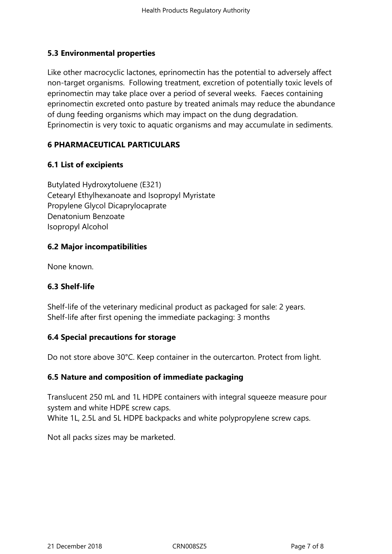# **5.3 Environmental properties**

Like other macrocyclic lactones, eprinomectin has the potential to adversely affect non-target organisms. Following treatment, excretion of potentially toxic levels of eprinomectin may take place over a period of several weeks. Faeces containing eprinomectin excreted onto pasture by treated animals may reduce the abundance of dung feeding organisms which may impact on the dung degradation. Eprinomectin is very toxic to aquatic organisms and may accumulate in sediments.

# **6 PHARMACEUTICAL PARTICULARS**

# **6.1 List of excipients**

Butylated Hydroxytoluene (E321) Cetearyl Ethylhexanoate and Isopropyl Myristate Propylene Glycol Dicaprylocaprate Denatonium Benzoate Isopropyl Alcohol

## **6.2 Major incompatibilities**

None known.

# **6.3 Shelf-life**

Shelf-life of the veterinary medicinal product as packaged for sale: 2 years. Shelf-life after first opening the immediate packaging: 3 months

#### **6.4 Special precautions for storage**

Do not store above 30°C. Keep container in the outercarton. Protect from light.

# **6.5 Nature and composition of immediate packaging**

Translucent 250 mL and 1L HDPE containers with integral squeeze measure pour system and white HDPE screw caps. White 1L, 2.5L and 5L HDPE backpacks and white polypropylene screw caps.

Not all packs sizes may be marketed.